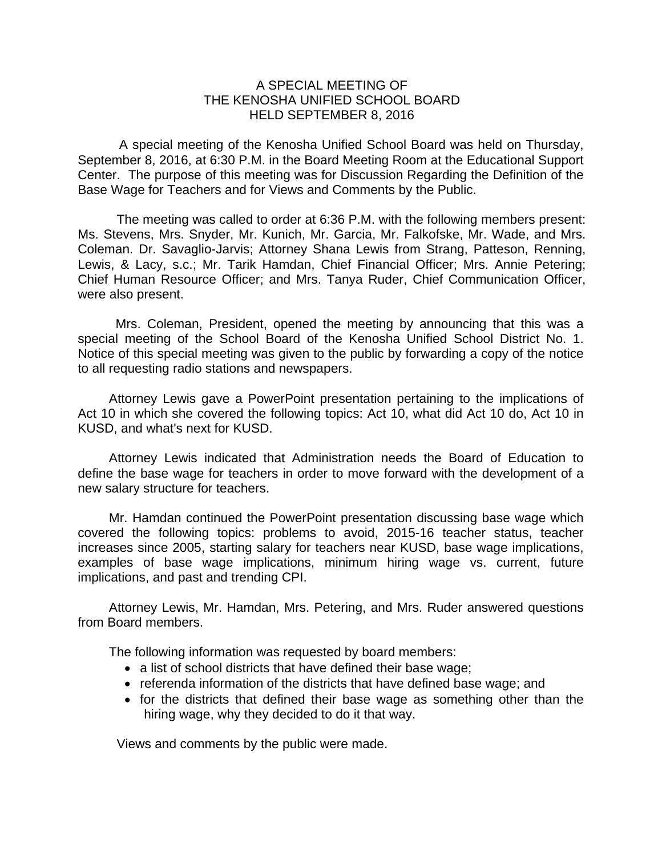## A SPECIAL MEETING OF THE KENOSHA UNIFIED SCHOOL BOARD HELD SEPTEMBER 8, 2016

A special meeting of the Kenosha Unified School Board was held on Thursday, September 8, 2016, at 6:30 P.M. in the Board Meeting Room at the Educational Support Center. The purpose of this meeting was for Discussion Regarding the Definition of the Base Wage for Teachers and for Views and Comments by the Public.

The meeting was called to order at 6:36 P.M. with the following members present: Ms. Stevens, Mrs. Snyder, Mr. Kunich, Mr. Garcia, Mr. Falkofske, Mr. Wade, and Mrs. Coleman. Dr. Savaglio-Jarvis; Attorney Shana Lewis from Strang, Patteson, Renning, Lewis, & Lacy, s.c.; Mr. Tarik Hamdan, Chief Financial Officer; Mrs. Annie Petering; Chief Human Resource Officer; and Mrs. Tanya Ruder, Chief Communication Officer, were also present.

Mrs. Coleman, President, opened the meeting by announcing that this was a special meeting of the School Board of the Kenosha Unified School District No. 1. Notice of this special meeting was given to the public by forwarding a copy of the notice to all requesting radio stations and newspapers.

Attorney Lewis gave a PowerPoint presentation pertaining to the implications of Act 10 in which she covered the following topics: Act 10, what did Act 10 do, Act 10 in KUSD, and what's next for KUSD.

Attorney Lewis indicated that Administration needs the Board of Education to define the base wage for teachers in order to move forward with the development of a new salary structure for teachers.

 Mr. Hamdan continued the PowerPoint presentation discussing base wage which covered the following topics: problems to avoid, 2015-16 teacher status, teacher increases since 2005, starting salary for teachers near KUSD, base wage implications, examples of base wage implications, minimum hiring wage vs. current, future implications, and past and trending CPI.

Attorney Lewis, Mr. Hamdan, Mrs. Petering, and Mrs. Ruder answered questions from Board members.

The following information was requested by board members:

- a list of school districts that have defined their base wage;
- referenda information of the districts that have defined base wage; and
- for the districts that defined their base wage as something other than the hiring wage, why they decided to do it that way.

Views and comments by the public were made.